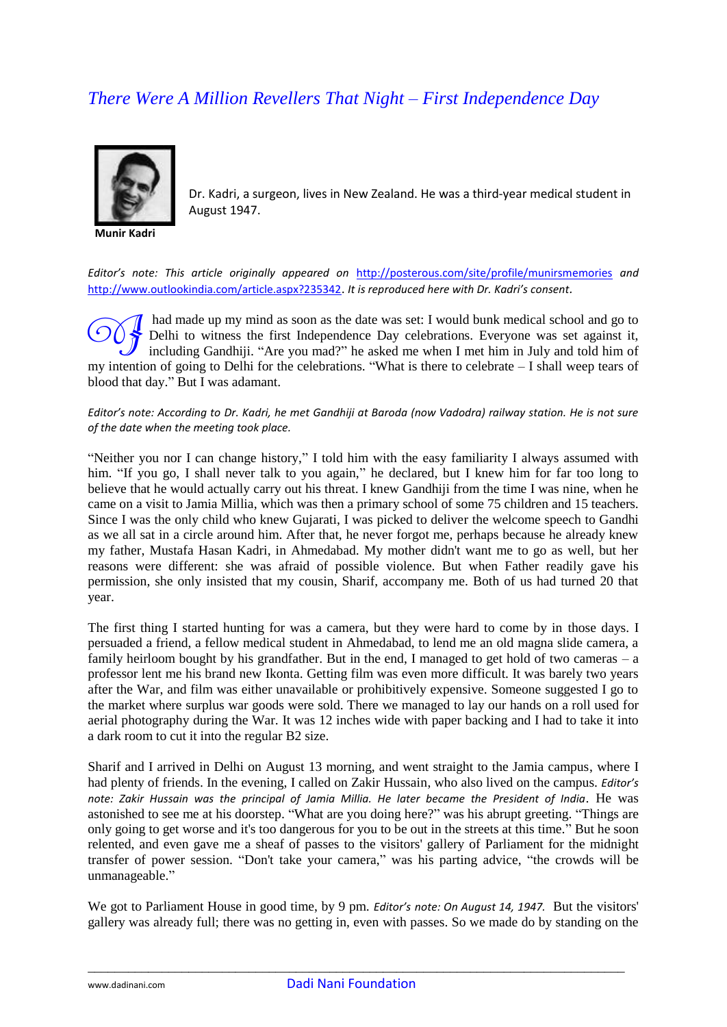## *There Were A Million Revellers That Night – First Independence Day*



**Munir Kadri**

Dr. Kadri, a surgeon, lives in New Zealand. He was a third-year medical student in August 1947.

*Editor's note: This article originally appeared on* <http://posterous.com/site/profile/munirsmemories> *and*  <http://www.outlookindia.com/article.aspx?235342>. *It is reproduced here with Dr. Kadri's consent.*

had made up my mind as soon as the date was set: I would bunk medical school and go to Delhi to witness the first Independence Day celebrations. Everyone was set against it, including Gandhiji. "Are you mad?" he asked me when I met him in July and told him of my intention of going to Delhi for the celebrations. "What is there to celebrate  $-$  I shall weep tears of blood that day." But I was adamant. OOJ

*Editor's note: According to Dr. Kadri, he met Gandhiji at Baroda (now Vadodra) railway station. He is not sure of the date when the meeting took place.*

"Neither you nor I can change history," I told him with the easy familiarity I always assumed with him. "If you go, I shall never talk to you again," he declared, but I knew him for far too long to believe that he would actually carry out his threat. I knew Gandhiji from the time I was nine, when he came on a visit to Jamia Millia, which was then a primary school of some 75 children and 15 teachers. Since I was the only child who knew Gujarati, I was picked to deliver the welcome speech to Gandhi as we all sat in a circle around him. After that, he never forgot me, perhaps because he already knew my father, Mustafa Hasan Kadri, in Ahmedabad. My mother didn't want me to go as well, but her reasons were different: she was afraid of possible violence. But when Father readily gave his permission, she only insisted that my cousin, Sharif, accompany me. Both of us had turned 20 that year.

The first thing I started hunting for was a camera, but they were hard to come by in those days. I persuaded a friend, a fellow medical student in Ahmedabad, to lend me an old magna slide camera, a family heirloom bought by his grandfather. But in the end, I managed to get hold of two cameras – a professor lent me his brand new Ikonta. Getting film was even more difficult. It was barely two years after the War, and film was either unavailable or prohibitively expensive. Someone suggested I go to the market where surplus war goods were sold. There we managed to lay our hands on a roll used for aerial photography during the War. It was 12 inches wide with paper backing and I had to take it into a dark room to cut it into the regular B2 size.

Sharif and I arrived in Delhi on August 13 morning, and went straight to the Jamia campus, where I had plenty of friends. In the evening, I called on Zakir Hussain, who also lived on the campus. *Editor's note: Zakir Hussain was the principal of Jamia Millia. He later became the President of India.* He was astonished to see me at his doorstep. "What are you doing here?" was his abrupt greeting. "Things are only going to get worse and it's too dangerous for you to be out in the streets at this time." But he soon relented, and even gave me a sheaf of passes to the visitors' gallery of Parliament for the midnight transfer of power session. "Don't take your camera," was his parting advice, "the crowds will be unmanageable."

We got to Parliament House in good time, by 9 pm. *Editor's note: On August 14, 1947.* But the visitors' gallery was already full; there was no getting in, even with passes. So we made do by standing on the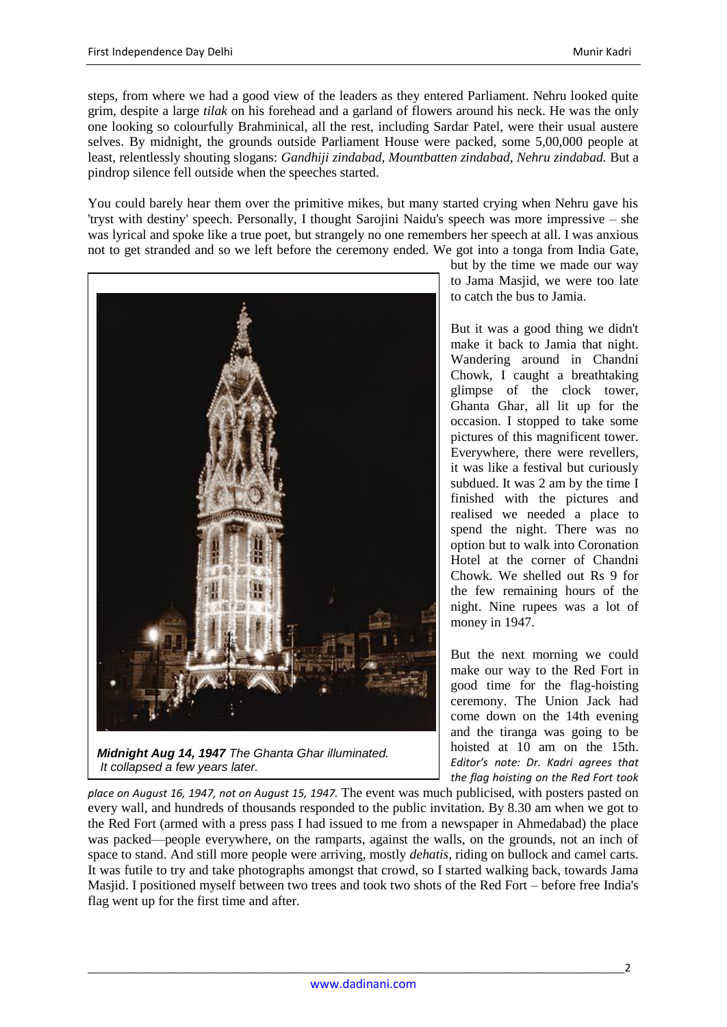steps, from where we had a good view of the leaders as they entered Parliament. Nehru looked quite grim, despite a large *tilak* on his forehead and a garland of flowers around his neck. He was the only one looking so colourfully Brahminical, all the rest, including Sardar Patel, were their usual austere selves. By midnight, the grounds outside Parliament House were packed, some 5,00,000 people at least, relentlessly shouting slogans: *Gandhiji zindabad, Mountbatten zindabad, Nehru zindabad.* But a pindrop silence fell outside when the speeches started.

You could barely hear them over the primitive mikes, but many started crying when Nehru gave his 'tryst with destiny' speech. Personally, I thought Sarojini Naidu's speech was more impressive – she was lyrical and spoke like a true poet, but strangely no one remembers her speech at all. I was anxious not to get stranded and so we left before the ceremony ended. We got into a tonga from India Gate,



*Midnight Aug 14, 1947 The Ghanta Ghar illuminated. It collapsed a few years later.*

*place on August 16, 1947, not on August 15, 1947.* The event was much publicised, with posters pasted on every wall, and hundreds of thousands responded to the public invitation. By 8.30 am when we got to the Red Fort (armed with a press pass I had issued to me from a newspaper in Ahmedabad) the place was packed—people everywhere, on the ramparts, against the walls, on the grounds, not an inch of space to stand. And still more people were arriving, mostly *dehatis*, riding on bullock and camel carts. It was futile to try and take photographs amongst that crowd, so I started walking back, towards Jama Masjid. I positioned myself between two trees and took two shots of the Red Fort – before free India's flag went up for the first time and after.

but by the time we made our way to Jama Masjid, we were too late to catch the bus to Jamia.

But it was a good thing we didn't make it back to Jamia that night. Wandering around in Chandni Chowk, I caught a breathtaking glimpse of the clock tower, Ghanta Ghar, all lit up for the occasion. I stopped to take some pictures of this magnificent tower. Everywhere, there were revellers, it was like a festival but curiously subdued. It was 2 am by the time I finished with the pictures and realised we needed a place to spend the night. There was no option but to walk into Coronation Hotel at the corner of Chandni Chowk. We shelled out Rs 9 for the few remaining hours of the night. Nine rupees was a lot of money in 1947.

But the next morning we could make our way to the Red Fort in good time for the flag-hoisting ceremony. The Union Jack had come down on the 14th evening and the tiranga was going to be hoisted at 10 am on the 15th. *Editor's note: Dr. Kadri agrees that the flag hoisting on the Red Fort took*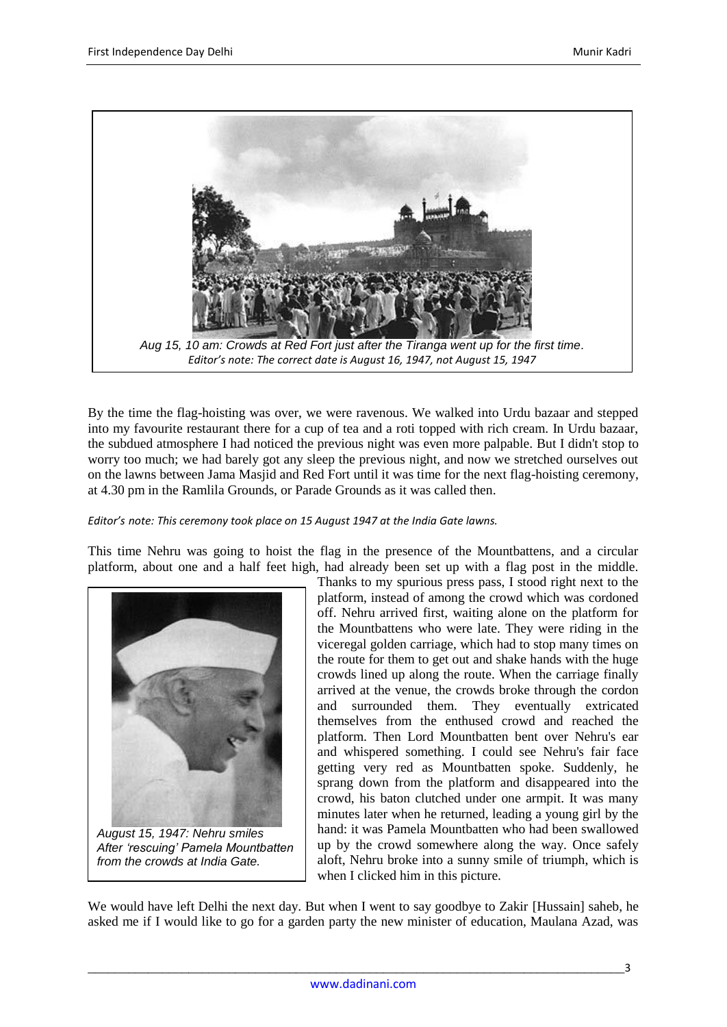

By the time the flag-hoisting was over, we were ravenous. We walked into Urdu bazaar and stepped into my favourite restaurant there for a cup of tea and a roti topped with rich cream. In Urdu bazaar, the subdued atmosphere I had noticed the previous night was even more palpable. But I didn't stop to worry too much; we had barely got any sleep the previous night, and now we stretched ourselves out on the lawns between Jama Masjid and Red Fort until it was time for the next flag-hoisting ceremony, at 4.30 pm in the Ramlila Grounds, or Parade Grounds as it was called then.

*Editor's note: This ceremony took place on 15 August 1947 at the India Gate lawns.*

This time Nehru was going to hoist the flag in the presence of the Mountbattens, and a circular platform, about one and a half feet high, had already been set up with a flag post in the middle.



*August 15, 1947: Nehru smiles After 'rescuing' Pamela Mountbatten from the crowds at India Gate.*

Thanks to my spurious press pass, I stood right next to the platform, instead of among the crowd which was cordoned off. Nehru arrived first, waiting alone on the platform for the Mountbattens who were late. They were riding in the viceregal golden carriage, which had to stop many times on the route for them to get out and shake hands with the huge crowds lined up along the route. When the carriage finally arrived at the venue, the crowds broke through the cordon and surrounded them. They eventually extricated themselves from the enthused crowd and reached the platform. Then Lord Mountbatten bent over Nehru's ear and whispered something. I could see Nehru's fair face getting very red as Mountbatten spoke. Suddenly, he sprang down from the platform and disappeared into the crowd, his baton clutched under one armpit. It was many minutes later when he returned, leading a young girl by the hand: it was Pamela Mountbatten who had been swallowed up by the crowd somewhere along the way. Once safely aloft, Nehru broke into a sunny smile of triumph, which is when I clicked him in this picture.

We would have left Delhi the next day. But when I went to say goodbye to Zakir [Hussain] saheb, he asked me if I would like to go for a garden party the new minister of education, Maulana Azad, was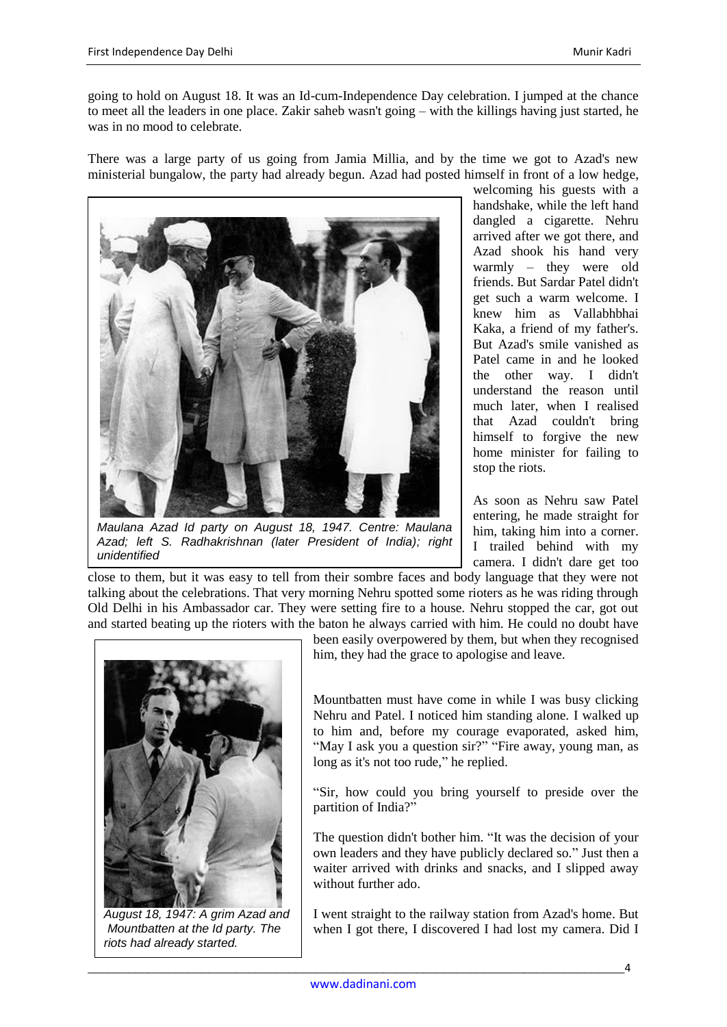going to hold on August 18. It was an Id-cum-Independence Day celebration. I jumped at the chance to meet all the leaders in one place. Zakir saheb wasn't going – with the killings having just started, he was in no mood to celebrate.

There was a large party of us going from Jamia Millia, and by the time we got to Azad's new ministerial bungalow, the party had already begun. Azad had posted himself in front of a low hedge,



*Maulana Azad Id party on August 18, 1947. Centre: Maulana Azad; left S. Radhakrishnan (later President of India); right unidentified*

welcoming his guests with a handshake, while the left hand dangled a cigarette. Nehru arrived after we got there, and Azad shook his hand very warmly – they were old friends. But Sardar Patel didn't get such a warm welcome. I knew him as Vallabhbhai Kaka, a friend of my father's. But Azad's smile vanished as Patel came in and he looked the other way. I didn't understand the reason until much later, when I realised that Azad couldn't bring himself to forgive the new home minister for failing to stop the riots.

As soon as Nehru saw Patel entering, he made straight for him, taking him into a corner. I trailed behind with my camera. I didn't dare get too

close to them, but it was easy to tell from their sombre faces and body language that they were not talking about the celebrations. That very morning Nehru spotted some rioters as he was riding through Old Delhi in his Ambassador car. They were setting fire to a house. Nehru stopped the car, got out and started beating up the rioters with the baton he always carried with him. He could no doubt have



*August 18, 1947: A grim Azad and Mountbatten at the Id party. The riots had already started.* 

been easily overpowered by them, but when they recognised him, they had the grace to apologise and leave.

Mountbatten must have come in while I was busy clicking Nehru and Patel. I noticed him standing alone. I walked up to him and, before my courage evaporated, asked him, "May I ask you a question sir?" "Fire away, young man, as long as it's not too rude," he replied.

―Sir, how could you bring yourself to preside over the partition of India?"

The question didn't bother him. "It was the decision of your own leaders and they have publicly declared so." Just then a waiter arrived with drinks and snacks, and I slipped away without further ado.

I went straight to the railway station from Azad's home. But when I got there, I discovered I had lost my camera. Did I